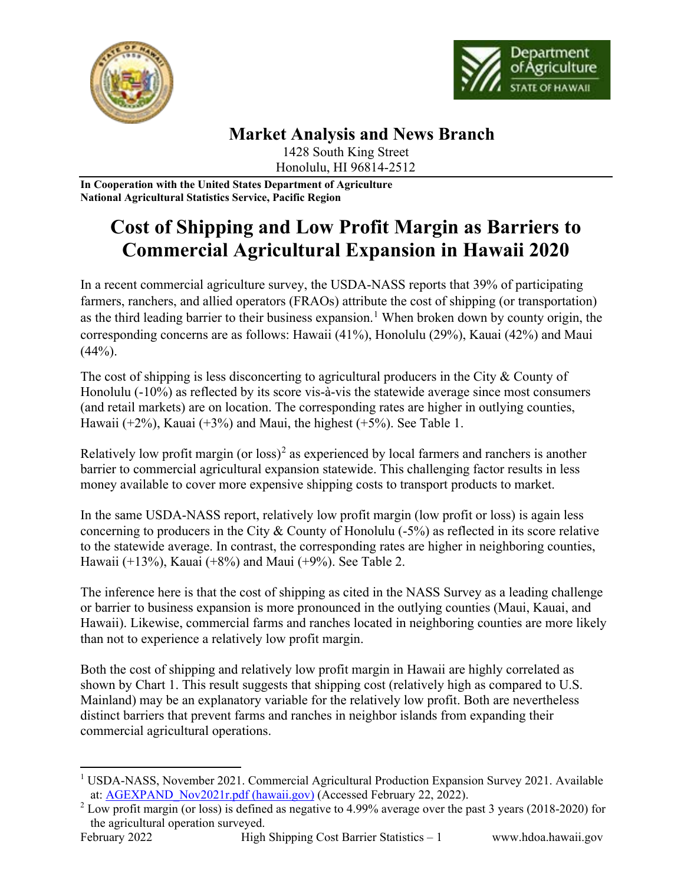



## **Market Analysis and News Branch**

1428 South King Street Honolulu, HI 96814-2512

**In Cooperation with the United States Department of Agriculture National Agricultural Statistics Service, Pacific Region**

# **Cost of Shipping and Low Profit Margin as Barriers to Commercial Agricultural Expansion in Hawaii 2020**

In a recent commercial agriculture survey, the USDA-NASS reports that 39% of participating farmers, ranchers, and allied operators (FRAOs) attribute the cost of shipping (or transportation) as the third leading barrier to their business expansion.<sup>[1](#page-0-0)</sup> When broken down by county origin, the corresponding concerns are as follows: Hawaii (41%), Honolulu (29%), Kauai (42%) and Maui  $(44%).$ 

The cost of shipping is less disconcerting to agricultural producers in the City & County of Honolulu (-10%) as reflected by its score vis-à-vis the statewide average since most consumers (and retail markets) are on location. The corresponding rates are higher in outlying counties, Hawaii ( $+2\%$ ), Kauai ( $+3\%$ ) and Maui, the highest ( $+5\%$ ). See Table 1.

Relatively low profit margin (or loss)<sup>[2](#page-0-1)</sup> as experienced by local farmers and ranchers is another barrier to commercial agricultural expansion statewide. This challenging factor results in less money available to cover more expensive shipping costs to transport products to market.

In the same USDA-NASS report, relatively low profit margin (low profit or loss) is again less concerning to producers in the City & County of Honolulu (-5%) as reflected in its score relative to the statewide average. In contrast, the corresponding rates are higher in neighboring counties, Hawaii (+13%), Kauai (+8%) and Maui (+9%). See Table 2.

The inference here is that the cost of shipping as cited in the NASS Survey as a leading challenge or barrier to business expansion is more pronounced in the outlying counties (Maui, Kauai, and Hawaii). Likewise, commercial farms and ranches located in neighboring counties are more likely than not to experience a relatively low profit margin.

Both the cost of shipping and relatively low profit margin in Hawaii are highly correlated as shown by Chart 1. This result suggests that shipping cost (relatively high as compared to U.S. Mainland) may be an explanatory variable for the relatively low profit. Both are nevertheless distinct barriers that prevent farms and ranches in neighbor islands from expanding their commercial agricultural operations.

<span id="page-0-0"></span><sup>&</sup>lt;sup>1</sup> USDA-NASS, November 2021. Commercial Agricultural Production Expansion Survey 2021. Available at: [AGEXPAND\\_Nov2021r.pdf \(hawaii.gov\)](https://hdoa.hawaii.gov/add/files/2021/11/AGEXPAND_Nov2021r.pdf) (Accessed February 22, 2022).

<span id="page-0-1"></span> $2$  Low profit margin (or loss) is defined as negative to 4.99% average over the past 3 years (2018-2020) for the agricultural operation surveyed.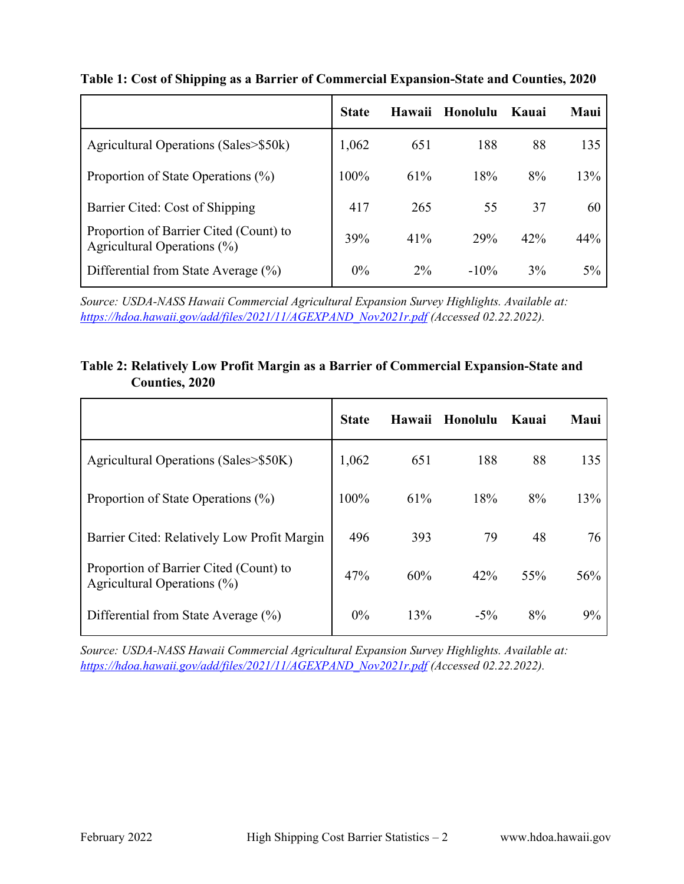|                                                                       | <b>State</b> | Hawaii | Honolulu | Kauai | Maui  |
|-----------------------------------------------------------------------|--------------|--------|----------|-------|-------|
| Agricultural Operations (Sales>\$50k)                                 | 1,062        | 651    | 188      | 88    | 135   |
| Proportion of State Operations (%)                                    | 100%         | 61%    | 18%      | 8%    | 13%   |
| Barrier Cited: Cost of Shipping                                       | 417          | 265    | 55       | 37    | 60    |
| Proportion of Barrier Cited (Count) to<br>Agricultural Operations (%) | 39%          | 41%    | 29%      | 42%   | 44%   |
| Differential from State Average $(\%)$                                | 0%           | $2\%$  | $-10\%$  | 3%    | $5\%$ |

#### **Table 1: Cost of Shipping as a Barrier of Commercial Expansion-State and Counties, 2020**

*Source: USDA-NASS Hawaii Commercial Agricultural Expansion Survey Highlights. Available at: [https://hdoa.hawaii.gov/add/files/2021/11/AGEXPAND\\_Nov2021r.pdf](https://hdoa.hawaii.gov/add/files/2021/11/AGEXPAND_Nov2021r.pdf) (Accessed 02.22.2022).*

#### **Table 2: Relatively Low Profit Margin as a Barrier of Commercial Expansion-State and Counties, 2020**

|                                                                       | <b>State</b> | Hawaii | Honolulu | Kauai | Maui |
|-----------------------------------------------------------------------|--------------|--------|----------|-------|------|
| Agricultural Operations (Sales>\$50K)                                 | 1,062        | 651    | 188      | 88    | 135  |
| Proportion of State Operations $(\%)$                                 | 100%         | 61%    | 18%      | 8%    | 13%  |
| Barrier Cited: Relatively Low Profit Margin                           | 496          | 393    | 79       | 48    | 76   |
| Proportion of Barrier Cited (Count) to<br>Agricultural Operations (%) | 47%          | 60%    | 42%      | 55%   | 56%  |
| Differential from State Average (%)                                   | $0\%$        | 13%    | $-5\%$   | 8%    | 9%   |

*Source: USDA-NASS Hawaii Commercial Agricultural Expansion Survey Highlights. Available at: [https://hdoa.hawaii.gov/add/files/2021/11/AGEXPAND\\_Nov2021r.pdf](https://hdoa.hawaii.gov/add/files/2021/11/AGEXPAND_Nov2021r.pdf) (Accessed 02.22.2022).*